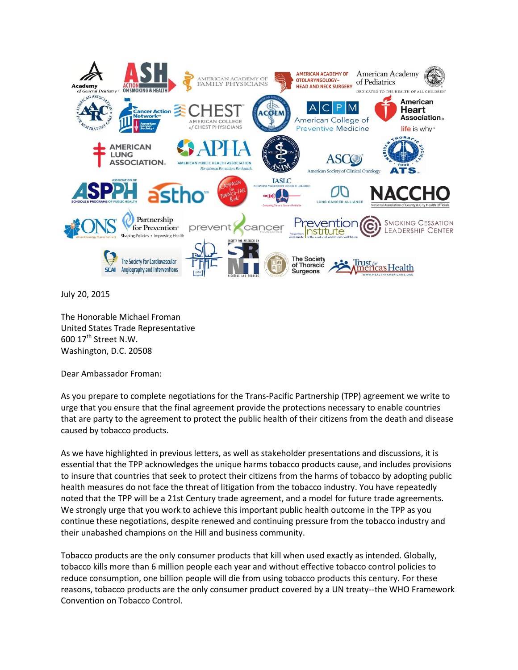

July 20, 2015

The Honorable Michael Froman United States Trade Representative 600  $17<sup>th</sup>$  Street N.W. Washington, D.C. 20508

Dear Ambassador Froman:

As you prepare to complete negotiations for the Trans-Pacific Partnership (TPP) agreement we write to urge that you ensure that the final agreement provide the protections necessary to enable countries that are party to the agreement to protect the public health of their citizens from the death and disease caused by tobacco products.

As we have highlighted in previous letters, as well as stakeholder presentations and discussions, it is essential that the TPP acknowledges the unique harms tobacco products cause, and includes provisions to insure that countries that seek to protect their citizens from the harms of tobacco by adopting public health measures do not face the threat of litigation from the tobacco industry. You have repeatedly noted that the TPP will be a 21st Century trade agreement, and a model for future trade agreements. We strongly urge that you work to achieve this important public health outcome in the TPP as you continue these negotiations, despite renewed and continuing pressure from the tobacco industry and their unabashed champions on the Hill and business community.

Tobacco products are the only consumer products that kill when used exactly as intended. Globally, tobacco kills more than 6 million people each year and without effective tobacco control policies to reduce consumption, one billion people will die from using tobacco products this century. For these reasons, tobacco products are the only consumer product covered by a UN treaty--the WHO Framework Convention on Tobacco Control.